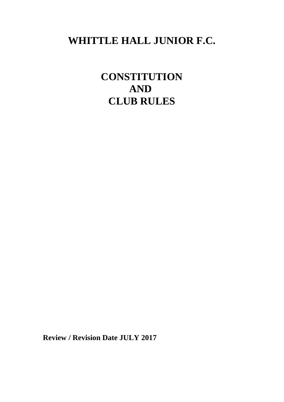# **WHITTLE HALL JUNIOR F.C.**

**CONSTITUTION AND CLUB RULES**

**Review / Revision Date JULY 2017**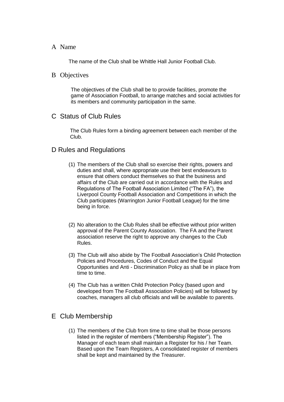#### A Name

The name of the Club shall be Whittle Hall Junior Football Club.

#### B Objectives

The objectives of the Club shall be to provide facilities, promote the game of Association Football, to arrange matches and social activities for its members and community participation in the same.

## C Status of Club Rules

The Club Rules form a binding agreement between each member of the Club.

## D Rules and Regulations

- (1) The members of the Club shall so exercise their rights, powers and duties and shall, where appropriate use their best endeavours to ensure that others conduct themselves so that the business and affairs of the Club are carried out in accordance with the Rules and Regulations of The Football Association Limited ("The FA"), the Liverpool County Football Association and Competitions in which the Club participates (Warrington Junior Football League) for the time being in force.
- (2) No alteration to the Club Rules shall be effective without prior written approval of the Parent County Association. The FA and the Parent association reserve the right to approve any changes to the Club Rules.
- (3) The Club will also abide by The Football Association's Child Protection Policies and Procedures, Codes of Conduct and the Equal Opportunities and Anti - Discrimination Policy as shall be in place from time to time.
- (4) The Club has a written Child Protection Policy (based upon and developed from The Football Association Policies) will be followed by coaches, managers all club officials and will be available to parents.

# E Club Membership

(1) The members of the Club from time to time shall be those persons listed in the register of members ("Membership Register"). The Manager of each team shall maintain a Register for his / her Team. Based upon the Team Registers, A consolidated register of members shall be kept and maintained by the Treasurer.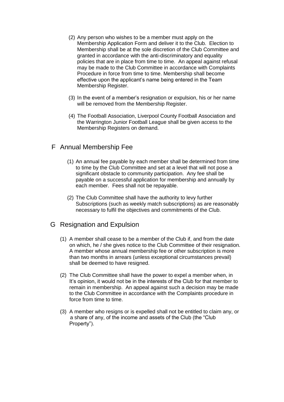- (2) Any person who wishes to be a member must apply on the Membership Application Form and deliver it to the Club. Election to Membership shall be at the sole discretion of the Club Committee and granted in accordance with the anti-discriminatory and equality policies that are in place from time to time. An appeal against refusal may be made to the Club Committee in accordance with Complaints Procedure in force from time to time. Membership shall become effective upon the applicant's name being entered in the Team Membership Register.
- (3) In the event of a member's resignation or expulsion, his or her name will be removed from the Membership Register.
- (4) The Football Association, Liverpool County Football Association and the Warrington Junior Football League shall be given access to the Membership Registers on demand.

# F Annual Membership Fee

- (1) An annual fee payable by each member shall be determined from time to time by the Club Committee and set at a level that will not pose a significant obstacle to community participation. Any fee shall be payable on a successful application for membership and annually by each member. Fees shall not be repayable.
- (2) The Club Committee shall have the authority to levy further Subscriptions (such as weekly match subscriptions) as are reasonably necessary to fulfil the objectives and commitments of the Club.

# G Resignation and Expulsion

- (1) A member shall cease to be a member of the Club if, and from the date on which, he / she gives notice to the Club Committee of their resignation. A member whose annual membership fee or other subscription is more than two months in arrears (unless exceptional circumstances prevail) shall be deemed to have resigned.
- (2) The Club Committee shall have the power to expel a member when, in It's opinion, it would not be in the interests of the Club for that member to remain in membership. An appeal against such a decision may be made to the Club Committee in accordance with the Complaints procedure in force from time to time.
- (3) A member who resigns or is expelled shall not be entitled to claim any, or a share of any, of the income and assets of the Club (the "Club Property").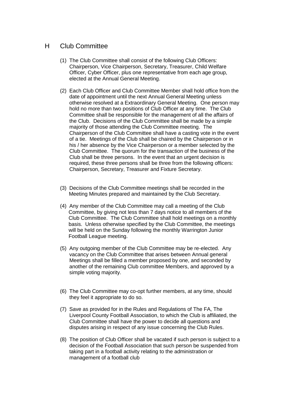## H Club Committee

- (1) The Club Committee shall consist of the following Club Officers: Chairperson, Vice Chairperson, Secretary, Treasurer, Child Welfare Officer, Cyber Officer, plus one representative from each age group, elected at the Annual General Meeting.
- (2) Each Club Officer and Club Committee Member shall hold office from the date of appointment until the next Annual General Meeting unless otherwise resolved at a Extraordinary General Meeting. One person may hold no more than two positions of Club Officer at any time. The Club Committee shall be responsible for the management of all the affairs of the Club. Decisions of the Club Committee shall be made by a simple majority of those attending the Club Committee meeting. The Chairperson of the Club Committee shall have a casting vote in the event of a tie. Meetings of the Club shall be chaired by the Chairperson or in his / her absence by the Vice Chairperson or a member selected by the Club Committee. The quorum for the transaction of the business of the Club shall be three persons. In the event that an urgent decision is required, these three persons shall be three from the following officers: Chairperson, Secretary, Treasurer and Fixture Secretary.
- (3) Decisions of the Club Committee meetings shall be recorded in the Meeting Minutes prepared and maintained by the Club Secretary.
- (4) Any member of the Club Committee may call a meeting of the Club Committee, by giving not less than 7 days notice to all members of the Club Committee. The Club Committee shall hold meetings on a monthly basis. Unless otherwise specified by the Club Committee, the meetings will be held on the Sunday following the monthly Warrington Junior Football League meeting.
- (5) Any outgoing member of the Club Committee may be re-elected. Any vacancy on the Club Committee that arises between Annual general Meetings shall be filled a member proposed by one, and seconded by another of the remaining Club committee Members, and approved by a simple voting majority.
- (6) The Club Committee may co-opt further members, at any time, should they feel it appropriate to do so.
- (7) Save as provided for in the Rules and Regulations of The FA, The Liverpool County Football Association, to which the Club is affiliated, the Club Committee shall have the power to decide all questions and disputes arising in respect of any issue concerning the Club Rules.
- (8) The position of Club Officer shall be vacated if such person is subject to a decision of the Football Association that such person be suspended from taking part in a football activity relating to the administration or management of a football club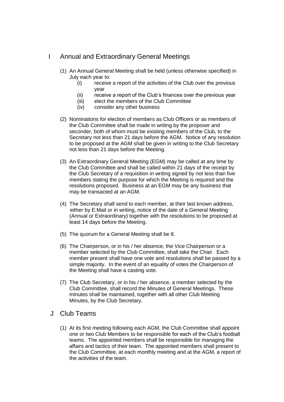# I Annual and Extraordinary General Meetings

- (1) An Annual General Meeting shall be held (unless otherwise specified) in July each year to:
	- (i) receive a report of the activities of the Club over the previous year
	- (ii) receive a report of the Club's finances over the previous year
	- (iii) elect the members of the Club Committee
	- (iv) consider any other business
- (2) Nominations for election of members as Club Officers or as members of the Club Committee shall be made in writing by the proposer and seconder, both of whom must be existing members of the Club, to the Secretary not less than 21 days before the AGM. Notice of any resolution to be proposed at the AGM shall be given in writing to the Club Secretary not less than 21 days before the Meeting.
- (3) An Extraordinary General Meeting (EGM) may be called at any time by the Club Committee and shall be called within 21 days of the receipt by the Club Secretary of a requisition in writing signed by not less than five members stating the purpose for which the Meeting is required and the resolutions proposed. Business at an EGM may be any business that may be transacted at an AGM.
- (4) The Secretary shall send to each member, at their last known address, either by E:Mail or in writing, notice of the date of a General Meeting (Annual or Extraordinary) together with the resolutions to be proposed at least 14 days before the Meeting.
- (5) The quorum for a General Meeting shall be 8.
- (6) The Chairperson, or in his / her absence, the Vice Chairperson or a member selected by the Club Committee, shall take the Chair. Each member present shall have one vote and resolutions shall be passed by a simple majority. In the event of an equality of votes the Chairperson of the Meeting shall have a casting vote.
- (7) The Club Secretary, or in his / her absence, a member selected by the Club Committee, shall record the Minutes of General Meetings. These minutes shall be maintained, together with all other Club Meeting Minutes, by the Club Secretary.
- J Club Teams
	- (1) At its first meeting following each AGM, the Club Committee shall appoint one or two Club Members to be responsible for each of the Club's football teams. The appointed members shall be responsible for managing the affairs and tactics of their team. The appointed members shall present to the Club Committee, at each monthly meeting and at the AGM, a report of the activities of the team.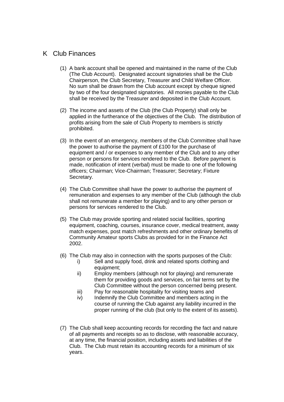# K Club Finances

- (1) A bank account shall be opened and maintained in the name of the Club (The Club Account). Designated account signatories shall be the Club Chairperson, the Club Secretary, Treasurer and Child Welfare Officer. No sum shall be drawn from the Club account except by cheque signed by two of the four designated signatories. All monies payable to the Club shall be received by the Treasurer and deposited in the Club Account.
- (2) The income and assets of the Club (the Club Property) shall only be applied in the furtherance of the objectives of the Club. The distribution of profits arising from the sale of Club Property to members is strictly prohibited.
- (3) In the event of an emergency, members of the Club Committee shall have the power to authorise the payment of £100 for the purchase of equipment and / or expenses to any member of the Club and to any other person or persons for services rendered to the Club. Before payment is made, notification of intent (verbal) must be made to one of the following officers; Chairman; Vice-Chairman; Treasurer; Secretary; Fixture Secretary.
- (4) The Club Committee shall have the power to authorise the payment of remuneration and expenses to any member of the Club (although the club shall not remunerate a member for playing) and to any other person or persons for services rendered to the Club.
- (5) The Club may provide sporting and related social facilities, sporting equipment, coaching, courses, insurance cover, medical treatment, away match expenses, post match refreshments and other ordinary benefits of Community Amateur sports Clubs as provided for in the Finance Act 2002.
- (6) The Club may also in connection with the sports purposes of the Club:
	- i) Sell and supply food, drink and related sports clothing and equipment;
	- ii) Employ members (although not for playing) and remunerate them for providing goods and services, on fair terms set by the Club Committee without the person concerned being present.
	- iii) Pay for reasonable hospitality for visiting teams and
	- iv) Indemnify the Club Committee and members acting in the course of running the Club against any liability incurred in the proper running of the club (but only to the extent of its assets).
- (7) The Club shall keep accounting records for recording the fact and nature of all payments and receipts so as to disclose, with reasonable accuracy, at any time, the financial position, including assets and liabilities of the Club. The Club must retain its accounting records for a minimum of six years.